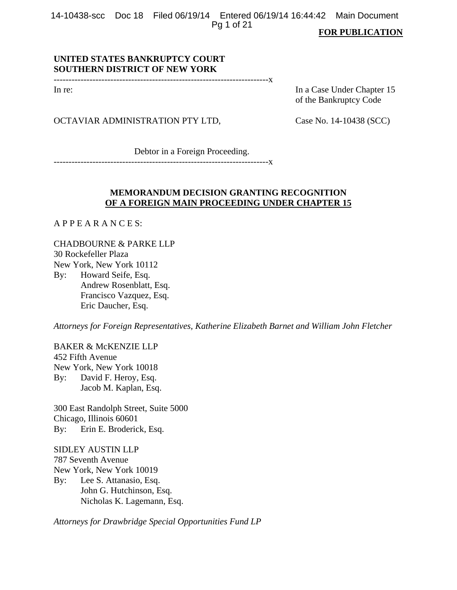14-10438-scc Doc 18 Filed 06/19/14 Entered 06/19/14 16:44:42 Main Document Pg 1 of 21

#### **FOR PUBLICATION**

# **UNITED STATES BANKRUPTCY COURT SOUTHERN DISTRICT OF NEW YORK**

------------------------------------------------------------------------x

In re: In a Case Under Chapter 15 of the Bankruptcy Code

# OCTAVIAR ADMINISTRATION PTY LTD, Case No. 14-10438 (SCC)

Debtor in a Foreign Proceeding.

------------------------------------------------------------------------x

# **MEMORANDUM DECISION GRANTING RECOGNITION OF A FOREIGN MAIN PROCEEDING UNDER CHAPTER 15**

A P P E A R A N C E S:

CHADBOURNE & PARKE LLP 30 Rockefeller Plaza New York, New York 10112 By: Howard Seife, Esq.

 Andrew Rosenblatt, Esq. Francisco Vazquez, Esq. Eric Daucher, Esq.

*Attorneys for Foreign Representatives, Katherine Elizabeth Barnet and William John Fletcher* 

BAKER & McKENZIE LLP 452 Fifth Avenue New York, New York 10018 By: David F. Heroy, Esq. Jacob M. Kaplan, Esq.

300 East Randolph Street, Suite 5000 Chicago, Illinois 60601 By: Erin E. Broderick, Esq.

SIDLEY AUSTIN LLP 787 Seventh Avenue New York, New York 10019 By: Lee S. Attanasio, Esq. John G. Hutchinson, Esq. Nicholas K. Lagemann, Esq.

*Attorneys for Drawbridge Special Opportunities Fund LP*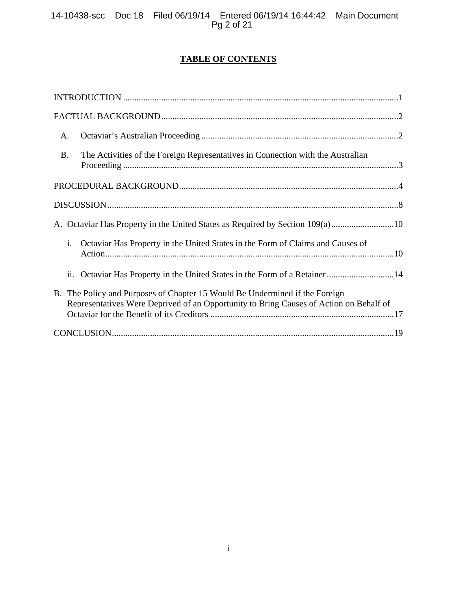# **TABLE OF CONTENTS**

| A.        |                                                                                                                                                                       |
|-----------|-----------------------------------------------------------------------------------------------------------------------------------------------------------------------|
| <b>B.</b> | The Activities of the Foreign Representatives in Connection with the Australian                                                                                       |
|           |                                                                                                                                                                       |
|           |                                                                                                                                                                       |
|           | A. Octaviar Has Property in the United States as Required by Section 109(a)10                                                                                         |
| i.        | Octaviar Has Property in the United States in the Form of Claims and Causes of                                                                                        |
|           | ii. Octaviar Has Property in the United States in the Form of a Retainer14                                                                                            |
|           | B. The Policy and Purposes of Chapter 15 Would Be Undermined if the Foreign<br>Representatives Were Deprived of an Opportunity to Bring Causes of Action on Behalf of |
|           |                                                                                                                                                                       |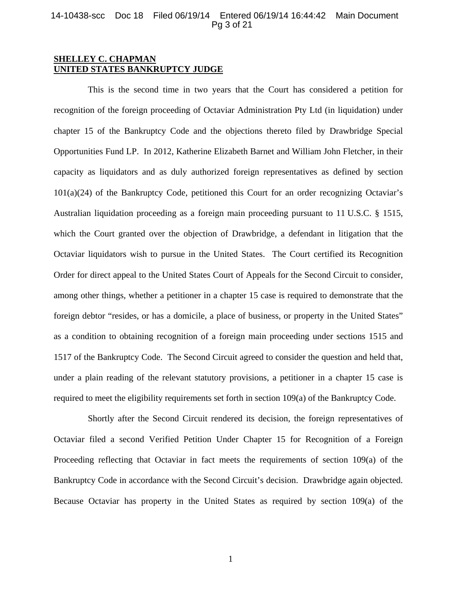#### 14-10438-scc Doc 18 Filed 06/19/14 Entered 06/19/14 16:44:42 Main Document Pg 3 of 21

## **SHELLEY C. CHAPMAN UNITED STATES BANKRUPTCY JUDGE**

 This is the second time in two years that the Court has considered a petition for recognition of the foreign proceeding of Octaviar Administration Pty Ltd (in liquidation) under chapter 15 of the Bankruptcy Code and the objections thereto filed by Drawbridge Special Opportunities Fund LP. In 2012, Katherine Elizabeth Barnet and William John Fletcher, in their capacity as liquidators and as duly authorized foreign representatives as defined by section 101(a)(24) of the Bankruptcy Code, petitioned this Court for an order recognizing Octaviar's Australian liquidation proceeding as a foreign main proceeding pursuant to 11 U.S.C. § 1515, which the Court granted over the objection of Drawbridge, a defendant in litigation that the Octaviar liquidators wish to pursue in the United States. The Court certified its Recognition Order for direct appeal to the United States Court of Appeals for the Second Circuit to consider, among other things, whether a petitioner in a chapter 15 case is required to demonstrate that the foreign debtor "resides, or has a domicile, a place of business, or property in the United States" as a condition to obtaining recognition of a foreign main proceeding under sections 1515 and 1517 of the Bankruptcy Code. The Second Circuit agreed to consider the question and held that, under a plain reading of the relevant statutory provisions, a petitioner in a chapter 15 case is required to meet the eligibility requirements set forth in section 109(a) of the Bankruptcy Code.

 Shortly after the Second Circuit rendered its decision, the foreign representatives of Octaviar filed a second Verified Petition Under Chapter 15 for Recognition of a Foreign Proceeding reflecting that Octaviar in fact meets the requirements of section 109(a) of the Bankruptcy Code in accordance with the Second Circuit's decision. Drawbridge again objected. Because Octaviar has property in the United States as required by section 109(a) of the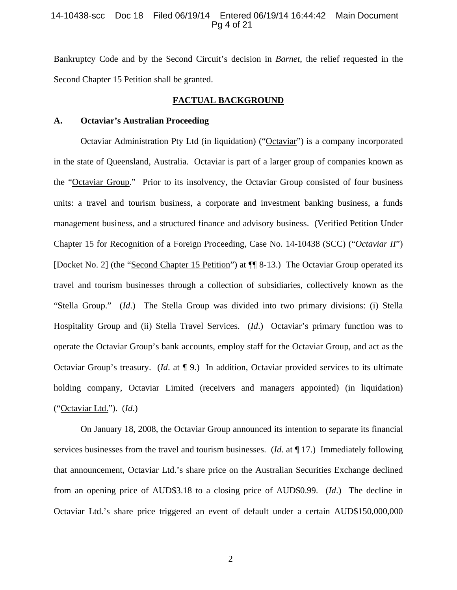#### 14-10438-scc Doc 18 Filed 06/19/14 Entered 06/19/14 16:44:42 Main Document Pg 4 of 21

Bankruptcy Code and by the Second Circuit's decision in *Barnet*, the relief requested in the Second Chapter 15 Petition shall be granted.

### **FACTUAL BACKGROUND**

#### **A. Octaviar's Australian Proceeding**

 Octaviar Administration Pty Ltd (in liquidation) ("Octaviar") is a company incorporated in the state of Queensland, Australia. Octaviar is part of a larger group of companies known as the "Octaviar Group." Prior to its insolvency, the Octaviar Group consisted of four business units: a travel and tourism business, a corporate and investment banking business, a funds management business, and a structured finance and advisory business. (Verified Petition Under Chapter 15 for Recognition of a Foreign Proceeding, Case No. 14-10438 (SCC) ("*Octaviar II*") [Docket No. 2] (the "Second Chapter 15 Petition") at ¶¶ 8-13.) The Octaviar Group operated its travel and tourism businesses through a collection of subsidiaries, collectively known as the "Stella Group." (*Id*.) The Stella Group was divided into two primary divisions: (i) Stella Hospitality Group and (ii) Stella Travel Services. (*Id*.) Octaviar's primary function was to operate the Octaviar Group's bank accounts, employ staff for the Octaviar Group, and act as the Octaviar Group's treasury. (*Id*. at ¶ 9.) In addition, Octaviar provided services to its ultimate holding company, Octaviar Limited (receivers and managers appointed) (in liquidation) ("Octaviar Ltd."). (*Id*.)

 On January 18, 2008, the Octaviar Group announced its intention to separate its financial services businesses from the travel and tourism businesses. (*Id*. at ¶ 17.) Immediately following that announcement, Octaviar Ltd.'s share price on the Australian Securities Exchange declined from an opening price of AUD\$3.18 to a closing price of AUD\$0.99. (*Id*.) The decline in Octaviar Ltd.'s share price triggered an event of default under a certain AUD\$150,000,000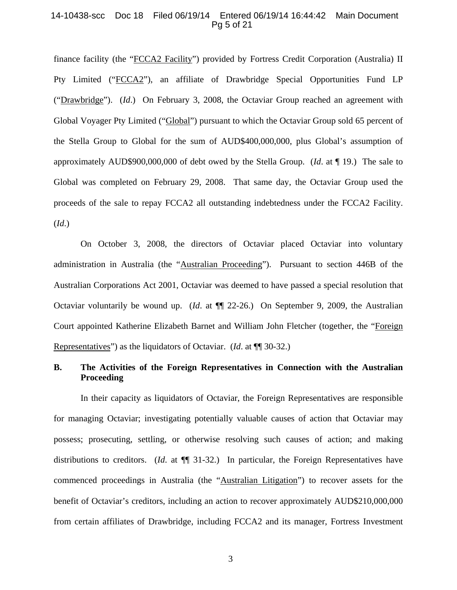#### 14-10438-scc Doc 18 Filed 06/19/14 Entered 06/19/14 16:44:42 Main Document Pg 5 of 21

finance facility (the "FCCA2 Facility") provided by Fortress Credit Corporation (Australia) II Pty Limited ("FCCA2"), an affiliate of Drawbridge Special Opportunities Fund LP ("Drawbridge"). (*Id*.) On February 3, 2008, the Octaviar Group reached an agreement with Global Voyager Pty Limited ("Global") pursuant to which the Octaviar Group sold 65 percent of the Stella Group to Global for the sum of AUD\$400,000,000, plus Global's assumption of approximately AUD\$900,000,000 of debt owed by the Stella Group. (*Id*. at ¶ 19.) The sale to Global was completed on February 29, 2008. That same day, the Octaviar Group used the proceeds of the sale to repay FCCA2 all outstanding indebtedness under the FCCA2 Facility. (*Id*.)

On October 3, 2008, the directors of Octaviar placed Octaviar into voluntary administration in Australia (the "Australian Proceeding"). Pursuant to section 446B of the Australian Corporations Act 2001, Octaviar was deemed to have passed a special resolution that Octaviar voluntarily be wound up. (*Id*. at ¶¶ 22-26.) On September 9, 2009, the Australian Court appointed Katherine Elizabeth Barnet and William John Fletcher (together, the "Foreign Representatives") as the liquidators of Octaviar. (*Id*. at ¶¶ 30-32.)

# **B. The Activities of the Foreign Representatives in Connection with the Australian Proceeding**

In their capacity as liquidators of Octaviar, the Foreign Representatives are responsible for managing Octaviar; investigating potentially valuable causes of action that Octaviar may possess; prosecuting, settling, or otherwise resolving such causes of action; and making distributions to creditors. (*Id*. at ¶¶ 31-32.) In particular, the Foreign Representatives have commenced proceedings in Australia (the "Australian Litigation") to recover assets for the benefit of Octaviar's creditors, including an action to recover approximately AUD\$210,000,000 from certain affiliates of Drawbridge, including FCCA2 and its manager, Fortress Investment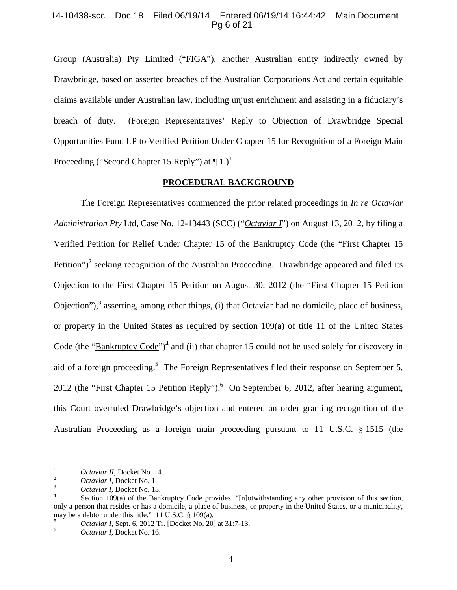### 14-10438-scc Doc 18 Filed 06/19/14 Entered 06/19/14 16:44:42 Main Document Pg 6 of 21

Group (Australia) Pty Limited ("FIGA"), another Australian entity indirectly owned by Drawbridge, based on asserted breaches of the Australian Corporations Act and certain equitable claims available under Australian law, including unjust enrichment and assisting in a fiduciary's breach of duty. (Foreign Representatives' Reply to Objection of Drawbridge Special Opportunities Fund LP to Verified Petition Under Chapter 15 for Recognition of a Foreign Main Proceeding ("Second Chapter 15 Reply") at  $\P$  1.)<sup>1</sup>

# **PROCEDURAL BACKGROUND**

The Foreign Representatives commenced the prior related proceedings in *In re Octaviar Administration Pty* Ltd, Case No. 12-13443 (SCC) ("*Octaviar I*") on August 13, 2012, by filing a Verified Petition for Relief Under Chapter 15 of the Bankruptcy Code (the "First Chapter 15  $Petition$ <sup>")2</sup> seeking recognition of the Australian Proceeding. Drawbridge appeared and filed its Objection to the First Chapter 15 Petition on August 30, 2012 (the "First Chapter 15 Petition  $Objection$ <sup>"</sup>),<sup>3</sup> asserting, among other things, (i) that Octaviar had no domicile, place of business, or property in the United States as required by section 109(a) of title 11 of the United States Code (the "**Bankruptcy Code**")<sup>4</sup> and (ii) that chapter 15 could not be used solely for discovery in aid of a foreign proceeding.<sup>5</sup> The Foreign Representatives filed their response on September 5, 2012 (the "First Chapter 15 Petition Reply").<sup>6</sup> On September 6, 2012, after hearing argument, this Court overruled Drawbridge's objection and entered an order granting recognition of the Australian Proceeding as a foreign main proceeding pursuant to 11 U.S.C. § 1515 (the

 1 <sup>1</sup> *Octaviar II*, Docket No. 14.<br>
<sup>2</sup> *Octaviar I*, Docket No. 1.<br> *Octaviar I*, Docket No. 13.

<sup>&</sup>lt;sup>4</sup> Section 109(a) of the Bankruptcy Code provides, "[n]otwithstanding any other provision of this section, only a person that resides or has a domicile, a place of business, or property in the United States, or a municipality, may be a debtor under this title." 11 U.S.C. § 109(a).<br>
<sup>5</sup> *Octaviar I*, Sept. 6, 2012 Tr. [Docket No. 20] at 31:7-13.<br>
<sup>6</sup> *Octaviar I*, Docket No. 16.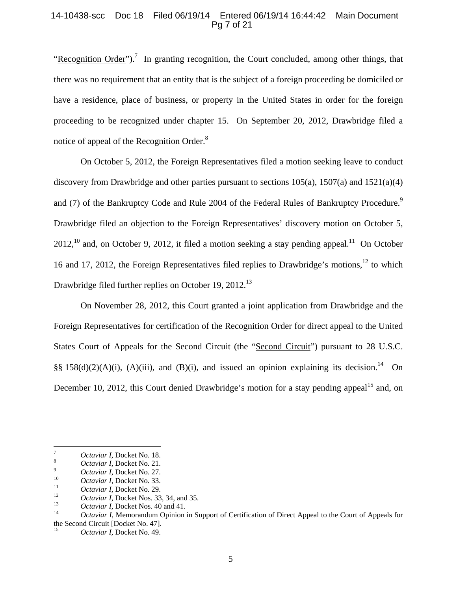### 14-10438-scc Doc 18 Filed 06/19/14 Entered 06/19/14 16:44:42 Main Document Pg 7 of 21

"Recognition Order").<sup>7</sup> In granting recognition, the Court concluded, among other things, that there was no requirement that an entity that is the subject of a foreign proceeding be domiciled or have a residence, place of business, or property in the United States in order for the foreign proceeding to be recognized under chapter 15. On September 20, 2012, Drawbridge filed a notice of appeal of the Recognition Order.<sup>8</sup>

On October 5, 2012, the Foreign Representatives filed a motion seeking leave to conduct discovery from Drawbridge and other parties pursuant to sections  $105(a)$ ,  $1507(a)$  and  $1521(a)(4)$ and (7) of the Bankruptcy Code and Rule 2004 of the Federal Rules of Bankruptcy Procedure.<sup>9</sup> Drawbridge filed an objection to the Foreign Representatives' discovery motion on October 5,  $2012$ ,<sup>10</sup> and, on October 9, 2012, it filed a motion seeking a stay pending appeal.<sup>11</sup> On October 16 and 17, 2012, the Foreign Representatives filed replies to Drawbridge's motions,<sup>12</sup> to which Drawbridge filed further replies on October 19, 2012.<sup>13</sup>

On November 28, 2012, this Court granted a joint application from Drawbridge and the Foreign Representatives for certification of the Recognition Order for direct appeal to the United States Court of Appeals for the Second Circuit (the "Second Circuit") pursuant to 28 U.S.C. §§ 158(d)(2)(A)(i), (A)(iii), and (B)(i), and issued an opinion explaining its decision.<sup>14</sup> On December 10, 2012, this Court denied Drawbridge's motion for a stay pending appeal<sup>15</sup> and, on

 <sup>7</sup> *Octaviar I*, Docket No. 18.

<sup>&</sup>lt;sup>8</sup> *Octaviar I*, Docket No. 21.<br>*Octaviar I*, Docket No. 27.

<sup>10&</sup>lt;br> *Octaviar I*, Docket No. 33.<br> *Octaviar I*, Docket No. 29.<br> *Octaviar I*, Docket Nos. 33, 34, and 35.<br> *Octaviar I*, Docket Nos. 40 and 41.<br> *Octaviar I*, Memorandum Opinion in Support of Certification of Direct Appea the Second Circuit [Docket No. 47].

Octaviar I, Docket No. 49.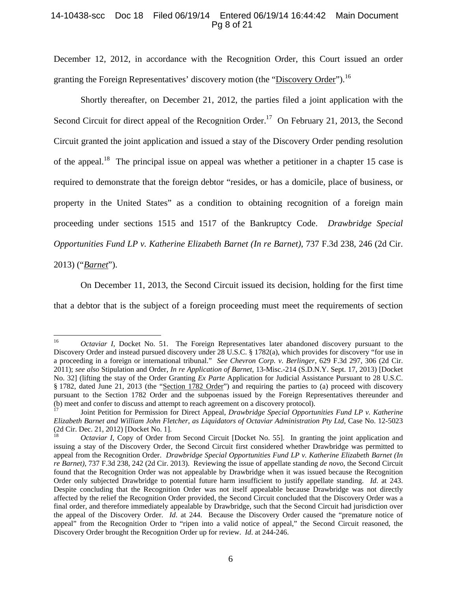### 14-10438-scc Doc 18 Filed 06/19/14 Entered 06/19/14 16:44:42 Main Document Pg 8 of 21

December 12, 2012, in accordance with the Recognition Order, this Court issued an order granting the Foreign Representatives' discovery motion (the "Discovery Order").<sup>16</sup>

Shortly thereafter, on December 21, 2012, the parties filed a joint application with the Second Circuit for direct appeal of the Recognition Order.<sup>17</sup> On February 21, 2013, the Second Circuit granted the joint application and issued a stay of the Discovery Order pending resolution of the appeal.<sup>18</sup> The principal issue on appeal was whether a petitioner in a chapter 15 case is required to demonstrate that the foreign debtor "resides, or has a domicile, place of business, or property in the United States" as a condition to obtaining recognition of a foreign main proceeding under sections 1515 and 1517 of the Bankruptcy Code. *Drawbridge Special Opportunities Fund LP v. Katherine Elizabeth Barnet (In re Barnet)*, 737 F.3d 238, 246 (2d Cir.

2013) ("*Barnet*").

On December 11, 2013, the Second Circuit issued its decision, holding for the first time that a debtor that is the subject of a foreign proceeding must meet the requirements of section

<sup>&</sup>lt;sup>16</sup> *Octaviar I*, Docket No. 51. The Foreign Representatives later abandoned discovery pursuant to the Discovery Order and instead pursued discovery under 28 U.S.C. § 1782(a), which provides for discovery "for use in a proceeding in a foreign or international tribunal." *See Chevron Corp. v. Berlinger*, 629 F.3d 297, 306 (2d Cir. 2011); *see also* Stipulation and Order, *In re Application of Barnet*, 13-Misc.-214 (S.D.N.Y. Sept. 17, 2013) [Docket No. 32] (lifting the stay of the Order Granting *Ex Parte* Application for Judicial Assistance Pursuant to 28 U.S.C. § 1782, dated June 21, 2013 (the "Section 1782 Order") and requiring the parties to (a) proceed with discovery pursuant to the Section 1782 Order and the subpoenas issued by the Foreign Representatives thereunder and (b) meet and confer to discuss and attempt to reach agreement on a discovery protocol).

<sup>(</sup>b) meet and confer to discuss and attempt to reach agreement on a discovery protocol). 17 Joint Petition for Permission for Direct Appeal, *Drawbridge Special Opportunities Fund LP v. Katherine Elizabeth Barnet and William John Fletcher, as Liquidators of Octaviar Administration Pty Ltd*, Case No. 12-5023 (2d Cir. Dec. 21, 2012) [Docket No. 1].

*Octaviar I*, Copy of Order from Second Circuit [Docket No. 55]. In granting the joint application and issuing a stay of the Discovery Order, the Second Circuit first considered whether Drawbridge was permitted to appeal from the Recognition Order. *Drawbridge Special Opportunities Fund LP v. Katherine Elizabeth Barnet (In re Barnet)*, 737 F.3d 238, 242 (2d Cir. 2013). Reviewing the issue of appellate standing *de novo*, the Second Circuit found that the Recognition Order was not appealable by Drawbridge when it was issued because the Recognition Order only subjected Drawbridge to potential future harm insufficient to justify appellate standing. *Id*. at 243. Despite concluding that the Recognition Order was not itself appealable because Drawbridge was not directly affected by the relief the Recognition Order provided, the Second Circuit concluded that the Discovery Order was a final order, and therefore immediately appealable by Drawbridge, such that the Second Circuit had jurisdiction over the appeal of the Discovery Order. *Id*. at 244. Because the Discovery Order caused the "premature notice of appeal" from the Recognition Order to "ripen into a valid notice of appeal," the Second Circuit reasoned, the Discovery Order brought the Recognition Order up for review. *Id*. at 244-246.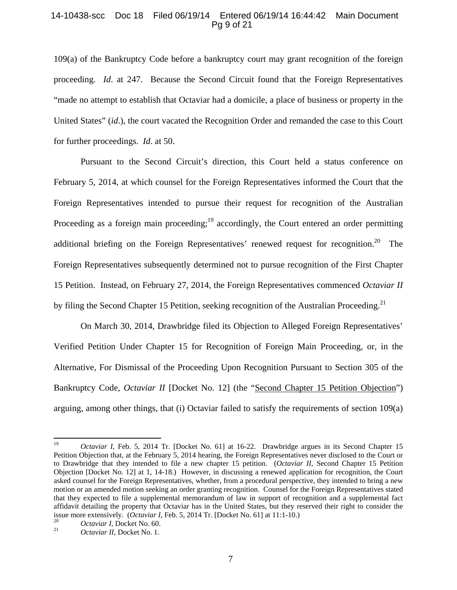### 14-10438-scc Doc 18 Filed 06/19/14 Entered 06/19/14 16:44:42 Main Document Pg 9 of 21

109(a) of the Bankruptcy Code before a bankruptcy court may grant recognition of the foreign proceeding. *Id*. at 247. Because the Second Circuit found that the Foreign Representatives "made no attempt to establish that Octaviar had a domicile, a place of business or property in the United States" (*id*.), the court vacated the Recognition Order and remanded the case to this Court for further proceedings. *Id*. at 50.

Pursuant to the Second Circuit's direction, this Court held a status conference on February 5, 2014, at which counsel for the Foreign Representatives informed the Court that the Foreign Representatives intended to pursue their request for recognition of the Australian Proceeding as a foreign main proceeding;  $19$  accordingly, the Court entered an order permitting additional briefing on the Foreign Representatives' renewed request for recognition.<sup>20</sup> The Foreign Representatives subsequently determined not to pursue recognition of the First Chapter 15 Petition. Instead, on February 27, 2014, the Foreign Representatives commenced *Octaviar II* by filing the Second Chapter 15 Petition, seeking recognition of the Australian Proceeding.<sup>21</sup>

On March 30, 2014, Drawbridge filed its Objection to Alleged Foreign Representatives' Verified Petition Under Chapter 15 for Recognition of Foreign Main Proceeding, or, in the Alternative, For Dismissal of the Proceeding Upon Recognition Pursuant to Section 305 of the Bankruptcy Code, *Octaviar II* [Docket No. 12] (the "Second Chapter 15 Petition Objection") arguing, among other things, that (i) Octaviar failed to satisfy the requirements of section 109(a)

<sup>&</sup>lt;sup>19</sup> *Octaviar I*, Feb. 5, 2014 Tr. [Docket No. 61] at 16-22. Drawbridge argues in its Second Chapter 15 Petition Objection that, at the February 5, 2014 hearing, the Foreign Representatives never disclosed to the Court or to Drawbridge that they intended to file a new chapter 15 petition. (*Octaviar II*, Second Chapter 15 Petition Objection [Docket No. 12] at 1, 14-18.) However, in discussing a renewed application for recognition, the Court asked counsel for the Foreign Representatives, whether, from a procedural perspective, they intended to bring a new motion or an amended motion seeking an order granting recognition. Counsel for the Foreign Representatives stated that they expected to file a supplemental memorandum of law in support of recognition and a supplemental fact affidavit detailing the property that Octaviar has in the United States, but they reserved their right to consider the issue more extensively. (*Octaviar I*, Feb. 5, 2014 Tr. [Docket No. 61] at 11:1-10.)<br>
<sup>20</sup> *Octaviar I*, Docket No. 60.<br> *Octaviar II*, Docket No. 1.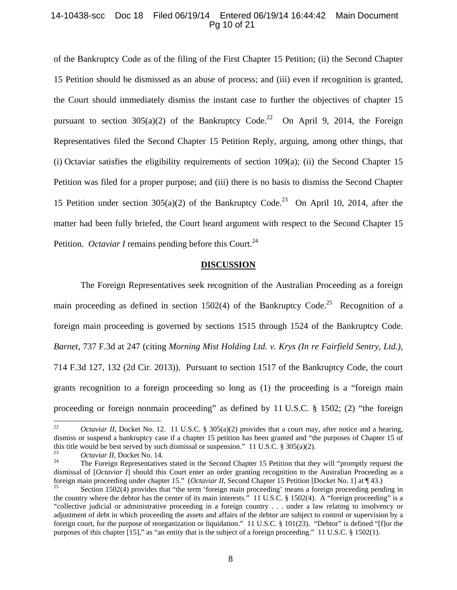#### 14-10438-scc Doc 18 Filed 06/19/14 Entered 06/19/14 16:44:42 Main Document Pg 10 of 21

of the Bankruptcy Code as of the filing of the First Chapter 15 Petition; (ii) the Second Chapter 15 Petition should be dismissed as an abuse of process; and (iii) even if recognition is granted, the Court should immediately dismiss the instant case to further the objectives of chapter 15 pursuant to section  $305(a)(2)$  of the Bankruptcy Code.<sup>22</sup> On April 9, 2014, the Foreign Representatives filed the Second Chapter 15 Petition Reply, arguing, among other things, that (i) Octaviar satisfies the eligibility requirements of section  $109(a)$ ; (ii) the Second Chapter 15 Petition was filed for a proper purpose; and (iii) there is no basis to dismiss the Second Chapter 15 Petition under section 305(a)(2) of the Bankruptcy Code.<sup>23</sup> On April 10, 2014, after the matter had been fully briefed, the Court heard argument with respect to the Second Chapter 15 Petition. *Octaviar I* remains pending before this Court.<sup>24</sup>

#### **DISCUSSION**

The Foreign Representatives seek recognition of the Australian Proceeding as a foreign main proceeding as defined in section 1502(4) of the Bankruptcy Code.<sup>25</sup> Recognition of a foreign main proceeding is governed by sections 1515 through 1524 of the Bankruptcy Code. *Barnet*, 737 F.3d at 247 (citing *Morning Mist Holding Ltd. v. Krys (In re Fairfield Sentry, Ltd.)*, 714 F.3d 127, 132 (2d Cir. 2013)). Pursuant to section 1517 of the Bankruptcy Code, the court grants recognition to a foreign proceeding so long as (1) the proceeding is a "foreign main proceeding or foreign nonmain proceeding" as defined by 11 U.S.C. § 1502; (2) "the foreign

<sup>&</sup>lt;sup>22</sup> *Octaviar II*, Docket No. 12. 11 U.S.C. § 305(a)(2) provides that a court may, after notice and a hearing, dismiss or suspend a bankruptcy case if a chapter 15 petition has been granted and "the purposes of Chapter 15 of this title would be best served by such dismissal or suspension." 11 U.S.C.  $\S 305(a)(2)$ .

<sup>&</sup>lt;sup>23</sup> *Octaviar II*, Docket No. 14.<br><sup>24</sup> The Foreign Representatives stated in the Second Chapter 15 Petition that they will "promptly request the dismissal of [*Octaviar I*] should this Court enter an order granting recognition to the Australian Proceeding as a foreign main proceeding under chapter 15." (*Octaviar II*, Second Chapter 15 Petition [Docket No. 1] at ¶ 43.) Section 1502(4) provides that "the term 'foreign main proceeding' means a foreign proceeding pending in

the country where the debtor has the center of its main interests." 11 U.S.C. § 1502(4). A "foreign proceeding" is a "collective judicial or administrative proceeding in a foreign country . . . under a law relating to insolvency or adjustment of debt in which proceeding the assets and affairs of the debtor are subject to control or supervision by a foreign court, for the purpose of reorganization or liquidation." 11 U.S.C. § 101(23). "Debtor" is defined "[f]or the purposes of this chapter [15]," as "an entity that is the subject of a foreign proceeding." 11 U.S.C. § 1502(1).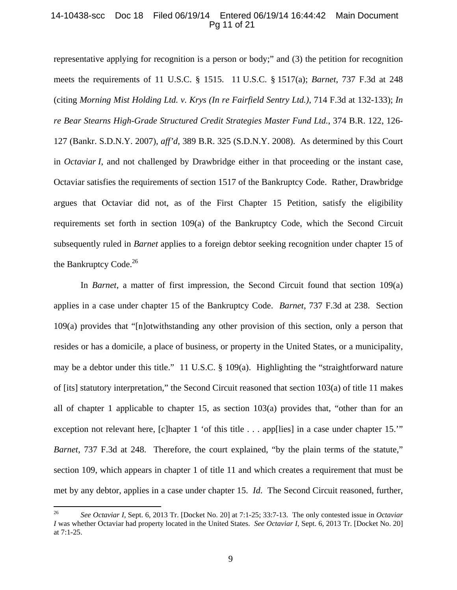#### 14-10438-scc Doc 18 Filed 06/19/14 Entered 06/19/14 16:44:42 Main Document Pg 11 of 21

representative applying for recognition is a person or body;" and (3) the petition for recognition meets the requirements of 11 U.S.C. § 1515. 11 U.S.C. § 1517(a); *Barnet*, 737 F.3d at 248 (citing *Morning Mist Holding Ltd. v. Krys (In re Fairfield Sentry Ltd.)*, 714 F.3d at 132-133); *In re Bear Stearns High-Grade Structured Credit Strategies Master Fund Ltd.*, 374 B.R. 122, 126- 127 (Bankr. S.D.N.Y. 2007), *aff'd*, 389 B.R. 325 (S.D.N.Y. 2008). As determined by this Court in *Octaviar I*, and not challenged by Drawbridge either in that proceeding or the instant case, Octaviar satisfies the requirements of section 1517 of the Bankruptcy Code. Rather, Drawbridge argues that Octaviar did not, as of the First Chapter 15 Petition, satisfy the eligibility requirements set forth in section 109(a) of the Bankruptcy Code, which the Second Circuit subsequently ruled in *Barnet* applies to a foreign debtor seeking recognition under chapter 15 of the Bankruptcy Code.<sup>26</sup>

In *Barnet*, a matter of first impression, the Second Circuit found that section 109(a) applies in a case under chapter 15 of the Bankruptcy Code. *Barnet*, 737 F.3d at 238. Section 109(a) provides that "[n]otwithstanding any other provision of this section, only a person that resides or has a domicile, a place of business, or property in the United States, or a municipality, may be a debtor under this title." 11 U.S.C. § 109(a). Highlighting the "straightforward nature of [its] statutory interpretation," the Second Circuit reasoned that section 103(a) of title 11 makes all of chapter 1 applicable to chapter 15, as section 103(a) provides that, "other than for an exception not relevant here, [c]hapter 1 'of this title . . . app[lies] in a case under chapter 15.'" *Barnet*, 737 F.3d at 248. Therefore, the court explained, "by the plain terms of the statute," section 109, which appears in chapter 1 of title 11 and which creates a requirement that must be met by any debtor, applies in a case under chapter 15. *Id*. The Second Circuit reasoned, further,

<sup>26</sup> *See Octaviar I*, Sept. 6, 2013 Tr. [Docket No. 20] at 7:1-25; 33:7-13. The only contested issue in *Octaviar I* was whether Octaviar had property located in the United States. *See Octaviar I*, Sept. 6, 2013 Tr. [Docket No. 20] at 7:1-25.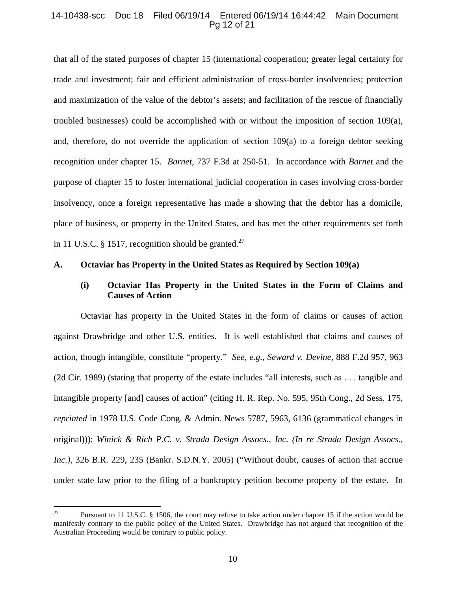### 14-10438-scc Doc 18 Filed 06/19/14 Entered 06/19/14 16:44:42 Main Document Pg 12 of 21

that all of the stated purposes of chapter 15 (international cooperation; greater legal certainty for trade and investment; fair and efficient administration of cross-border insolvencies; protection and maximization of the value of the debtor's assets; and facilitation of the rescue of financially troubled businesses) could be accomplished with or without the imposition of section 109(a), and, therefore, do not override the application of section  $109(a)$  to a foreign debtor seeking recognition under chapter 15. *Barnet*, 737 F.3d at 250-51. In accordance with *Barnet* and the purpose of chapter 15 to foster international judicial cooperation in cases involving cross-border insolvency, once a foreign representative has made a showing that the debtor has a domicile, place of business, or property in the United States, and has met the other requirements set forth in 11 U.S.C. § 1517, recognition should be granted.<sup>27</sup>

#### **A. Octaviar has Property in the United States as Required by Section 109(a)**

# **(i) Octaviar Has Property in the United States in the Form of Claims and Causes of Action**

Octaviar has property in the United States in the form of claims or causes of action against Drawbridge and other U.S. entities. It is well established that claims and causes of action, though intangible, constitute "property." *See, e.g., Seward v. Devine*, 888 F.2d 957, 963 (2d Cir. 1989) (stating that property of the estate includes "all interests, such as . . . tangible and intangible property [and] causes of action" (citing H. R. Rep. No. 595, 95th Cong., 2d Sess. 175, *reprinted* in 1978 U.S. Code Cong. & Admin. News 5787, 5963, 6136 (grammatical changes in original))); *Winick & Rich P.C. v. Strada Design Assocs., Inc. (In re Strada Design Assocs., Inc.)*, 326 B.R. 229, 235 (Bankr. S.D.N.Y. 2005) ("Without doubt, causes of action that accrue under state law prior to the filing of a bankruptcy petition become property of the estate. In

<sup>&</sup>lt;sup>27</sup> Pursuant to 11 U.S.C. § 1506, the court may refuse to take action under chapter 15 if the action would be manifestly contrary to the public policy of the United States. Drawbridge has not argued that recognition of the Australian Proceeding would be contrary to public policy.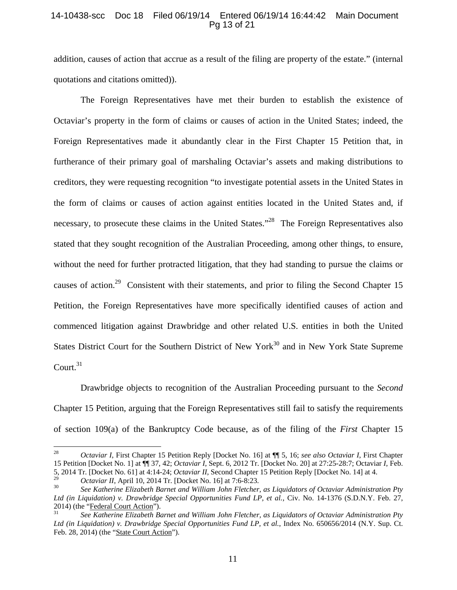### 14-10438-scc Doc 18 Filed 06/19/14 Entered 06/19/14 16:44:42 Main Document Pg 13 of 21

addition, causes of action that accrue as a result of the filing are property of the estate." (internal quotations and citations omitted)).

The Foreign Representatives have met their burden to establish the existence of Octaviar's property in the form of claims or causes of action in the United States; indeed, the Foreign Representatives made it abundantly clear in the First Chapter 15 Petition that, in furtherance of their primary goal of marshaling Octaviar's assets and making distributions to creditors, they were requesting recognition "to investigate potential assets in the United States in the form of claims or causes of action against entities located in the United States and, if necessary, to prosecute these claims in the United States."<sup>28</sup> The Foreign Representatives also stated that they sought recognition of the Australian Proceeding, among other things, to ensure, without the need for further protracted litigation, that they had standing to pursue the claims or causes of action.<sup>29</sup> Consistent with their statements, and prior to filing the Second Chapter 15 Petition, the Foreign Representatives have more specifically identified causes of action and commenced litigation against Drawbridge and other related U.S. entities in both the United States District Court for the Southern District of New York<sup>30</sup> and in New York State Supreme Court. $31$ 

Drawbridge objects to recognition of the Australian Proceeding pursuant to the *Second* Chapter 15 Petition, arguing that the Foreign Representatives still fail to satisfy the requirements of section 109(a) of the Bankruptcy Code because, as of the filing of the *First* Chapter 15

<sup>28</sup> *Octaviar I*, First Chapter 15 Petition Reply [Docket No. 16] at ¶¶ 5, 16; *see also Octaviar I*, First Chapter 15 Petition [Docket No. 1] at ¶¶ 37, 42; *Octaviar I*, Sept. 6, 2012 Tr. [Docket No. 20] at 27:25-28:7; Octaviar *I*, Feb. 5, 2014 Tr. [Docket No. 61] at 4:14-24; *Octaviar II*, Second Chapter 15 Petition Reply [Docket No. 14] at 4.

*Octaviar II*, April 10, 2014 Tr. [Docket No. 16] at 7:6-8:23.<br>See Katherine Elizabeth Barnet and William John Fletcher, as Liquidators of Octaviar Administration Pty *Ltd (in Liquidation) v. Drawbridge Special Opportunities Fund LP, et al.*, Civ. No. 14-1376 (S.D.N.Y. Feb. 27, 2014) (the "Federal Court Action").

<sup>31</sup> *See Katherine Elizabeth Barnet and William John Fletcher, as Liquidators of Octaviar Administration Pty Ltd (in Liquidation) v. Drawbridge Special Opportunities Fund LP, et al.*, Index No. 650656/2014 (N.Y. Sup. Ct. Feb. 28, 2014) (the "State Court Action").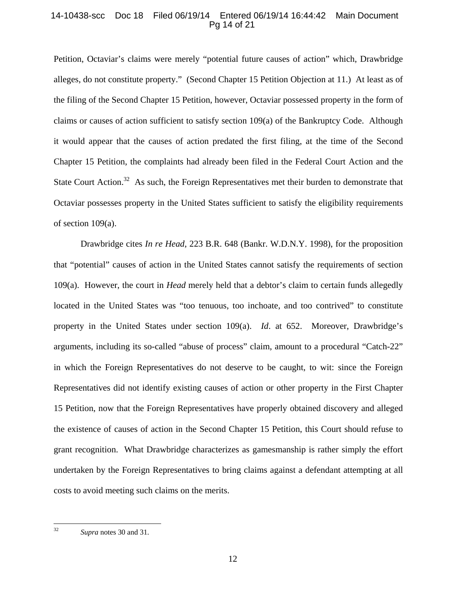# 14-10438-scc Doc 18 Filed 06/19/14 Entered 06/19/14 16:44:42 Main Document Pg 14 of 21

Petition, Octaviar's claims were merely "potential future causes of action" which, Drawbridge alleges, do not constitute property." (Second Chapter 15 Petition Objection at 11.) At least as of the filing of the Second Chapter 15 Petition, however, Octaviar possessed property in the form of claims or causes of action sufficient to satisfy section 109(a) of the Bankruptcy Code. Although it would appear that the causes of action predated the first filing, at the time of the Second Chapter 15 Petition, the complaints had already been filed in the Federal Court Action and the State Court Action.<sup>32</sup> As such, the Foreign Representatives met their burden to demonstrate that Octaviar possesses property in the United States sufficient to satisfy the eligibility requirements of section 109(a).

Drawbridge cites *In re Head*, 223 B.R. 648 (Bankr. W.D.N.Y. 1998), for the proposition that "potential" causes of action in the United States cannot satisfy the requirements of section 109(a). However, the court in *Head* merely held that a debtor's claim to certain funds allegedly located in the United States was "too tenuous, too inchoate, and too contrived" to constitute property in the United States under section 109(a). *Id*. at 652. Moreover, Drawbridge's arguments, including its so-called "abuse of process" claim, amount to a procedural "Catch-22" in which the Foreign Representatives do not deserve to be caught, to wit: since the Foreign Representatives did not identify existing causes of action or other property in the First Chapter 15 Petition, now that the Foreign Representatives have properly obtained discovery and alleged the existence of causes of action in the Second Chapter 15 Petition, this Court should refuse to grant recognition. What Drawbridge characterizes as gamesmanship is rather simply the effort undertaken by the Foreign Representatives to bring claims against a defendant attempting at all costs to avoid meeting such claims on the merits.

<sup>32</sup> *Supra* notes 30 and 31.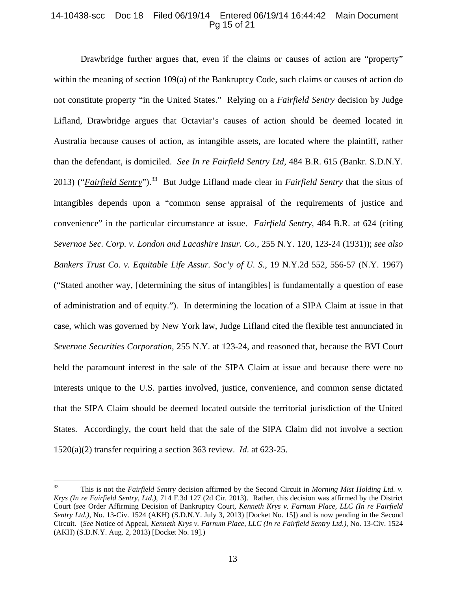# 14-10438-scc Doc 18 Filed 06/19/14 Entered 06/19/14 16:44:42 Main Document Pg 15 of 21

Drawbridge further argues that, even if the claims or causes of action are "property" within the meaning of section 109(a) of the Bankruptcy Code, such claims or causes of action do not constitute property "in the United States." Relying on a *Fairfield Sentry* decision by Judge Lifland, Drawbridge argues that Octaviar's causes of action should be deemed located in Australia because causes of action, as intangible assets, are located where the plaintiff, rather than the defendant, is domiciled. *See In re Fairfield Sentry Ltd*, 484 B.R. 615 (Bankr. S.D.N.Y. 2013) ("*Fairfield Sentry*").33 But Judge Lifland made clear in *Fairfield Sentry* that the situs of intangibles depends upon a "common sense appraisal of the requirements of justice and convenience" in the particular circumstance at issue. *Fairfield Sentry*, 484 B.R. at 624 (citing *Severnoe Sec. Corp. v. London and Lacashire Insur. Co.*, 255 N.Y. 120, 123-24 (1931)); *see also Bankers Trust Co. v. Equitable Life Assur. Soc'y of U. S.*, 19 N.Y.2d 552, 556-57 (N.Y. 1967) ("Stated another way, [determining the situs of intangibles] is fundamentally a question of ease of administration and of equity."). In determining the location of a SIPA Claim at issue in that case, which was governed by New York law, Judge Lifland cited the flexible test annunciated in *Severnoe Securities Corporation*, 255 N.Y. at 123-24, and reasoned that, because the BVI Court held the paramount interest in the sale of the SIPA Claim at issue and because there were no interests unique to the U.S. parties involved, justice, convenience, and common sense dictated that the SIPA Claim should be deemed located outside the territorial jurisdiction of the United States. Accordingly, the court held that the sale of the SIPA Claim did not involve a section 1520(a)(2) transfer requiring a section 363 review. *Id*. at 623-25.

<sup>33</sup> This is not the *Fairfield Sentry* decision affirmed by the Second Circuit in *Morning Mist Holding Ltd. v. Krys (In re Fairfield Sentry, Ltd.)*, 714 F.3d 127 (2d Cir. 2013). Rather, this decision was affirmed by the District Court (*see* Order Affirming Decision of Bankruptcy Court, *Kenneth Krys v. Farnum Place, LLC (In re Fairfield Sentry Ltd.)*, No. 13-Civ. 1524 (AKH) (S.D.N.Y. July 3, 2013) [Docket No. 15]) and is now pending in the Second Circuit. (*See* Notice of Appeal*, Kenneth Krys v. Farnum Place, LLC (In re Fairfield Sentry Ltd.)*, No. 13-Civ. 1524 (AKH) (S.D.N.Y. Aug. 2, 2013) [Docket No. 19].)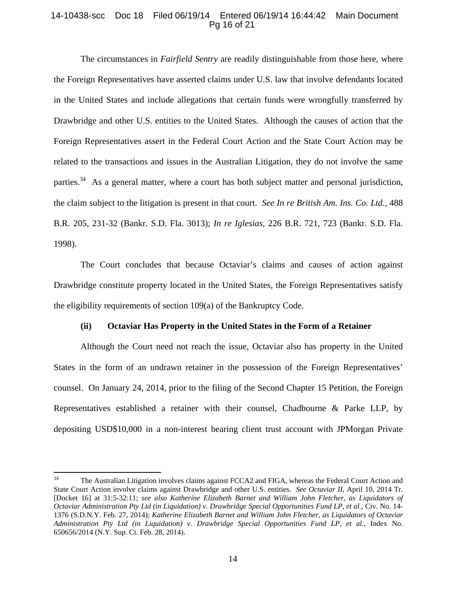## 14-10438-scc Doc 18 Filed 06/19/14 Entered 06/19/14 16:44:42 Main Document Pg 16 of 21

The circumstances in *Fairfield Sentry* are readily distinguishable from those here, where the Foreign Representatives have asserted claims under U.S. law that involve defendants located in the United States and include allegations that certain funds were wrongfully transferred by Drawbridge and other U.S. entities to the United States. Although the causes of action that the Foreign Representatives assert in the Federal Court Action and the State Court Action may be related to the transactions and issues in the Australian Litigation, they do not involve the same parties.<sup>34</sup> As a general matter, where a court has both subject matter and personal jurisdiction, the claim subject to the litigation is present in that court. *See In re British Am. Ins. Co. Ltd.*, 488 B.R. 205, 231-32 (Bankr. S.D. Fla. 3013); *In re Iglesias*, 226 B.R. 721, 723 (Bankr. S.D. Fla. 1998).

The Court concludes that because Octaviar's claims and causes of action against Drawbridge constitute property located in the United States, the Foreign Representatives satisfy the eligibility requirements of section 109(a) of the Bankruptcy Code.

#### **(ii) Octaviar Has Property in the United States in the Form of a Retainer**

Although the Court need not reach the issue, Octaviar also has property in the United States in the form of an undrawn retainer in the possession of the Foreign Representatives' counsel. On January 24, 2014, prior to the filing of the Second Chapter 15 Petition, the Foreign Representatives established a retainer with their counsel, Chadbourne & Parke LLP, by depositing USD\$10,000 in a non-interest bearing client trust account with JPMorgan Private

<sup>&</sup>lt;sup>34</sup> The Australian Litigation involves claims against FCCA2 and FIGA, whereas the Federal Court Action and State Court Action involve claims against Drawbridge and other U.S. entities. *See Octaviar II*, April 10, 2014 Tr. [Docket 16] at 31:5-32:11; *see also Katherine Elizabeth Barnet and William John Fletcher, as Liquidators of Octaviar Administration Pty Ltd (in Liquidation) v. Drawbridge Special Opportunities Fund LP, et al.*, Civ. No. 14- 1376 (S.D.N.Y. Feb. 27, 2014); *Katherine Elizabeth Barnet and William John Fletcher, as Liquidators of Octaviar Administration Pty Ltd (in Liquidation) v. Drawbridge Special Opportunities Fund LP, et al.*, Index No. 650656/2014 (N.Y. Sup. Ct. Feb. 28, 2014).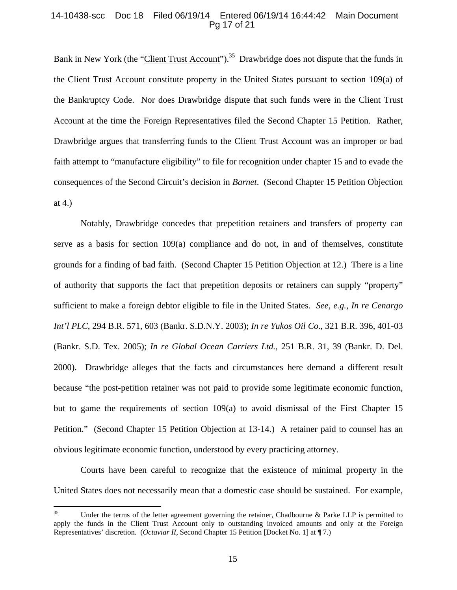#### 14-10438-scc Doc 18 Filed 06/19/14 Entered 06/19/14 16:44:42 Main Document Pg 17 of 21

Bank in New York (the "Client Trust Account").<sup>35</sup> Drawbridge does not dispute that the funds in the Client Trust Account constitute property in the United States pursuant to section 109(a) of the Bankruptcy Code. Nor does Drawbridge dispute that such funds were in the Client Trust Account at the time the Foreign Representatives filed the Second Chapter 15 Petition. Rather, Drawbridge argues that transferring funds to the Client Trust Account was an improper or bad faith attempt to "manufacture eligibility" to file for recognition under chapter 15 and to evade the consequences of the Second Circuit's decision in *Barnet*. (Second Chapter 15 Petition Objection at 4.)

Notably, Drawbridge concedes that prepetition retainers and transfers of property can serve as a basis for section 109(a) compliance and do not, in and of themselves, constitute grounds for a finding of bad faith. (Second Chapter 15 Petition Objection at 12.) There is a line of authority that supports the fact that prepetition deposits or retainers can supply "property" sufficient to make a foreign debtor eligible to file in the United States. *See, e.g., In re Cenargo Int'l PLC*, 294 B.R. 571, 603 (Bankr. S.D.N.Y. 2003); *In re Yukos Oil Co.*, 321 B.R. 396, 401-03 (Bankr. S.D. Tex. 2005); *In re Global Ocean Carriers Ltd.*, 251 B.R. 31, 39 (Bankr. D. Del. 2000). Drawbridge alleges that the facts and circumstances here demand a different result because "the post-petition retainer was not paid to provide some legitimate economic function, but to game the requirements of section 109(a) to avoid dismissal of the First Chapter 15 Petition." (Second Chapter 15 Petition Objection at 13-14.) A retainer paid to counsel has an obvious legitimate economic function, understood by every practicing attorney.

Courts have been careful to recognize that the existence of minimal property in the United States does not necessarily mean that a domestic case should be sustained. For example,

<sup>&</sup>lt;sup>35</sup> Under the terms of the letter agreement governing the retainer, Chadbourne & Parke LLP is permitted to apply the funds in the Client Trust Account only to outstanding invoiced amounts and only at the Foreign Representatives' discretion. (*Octaviar II*, Second Chapter 15 Petition [Docket No. 1] at ¶ 7.)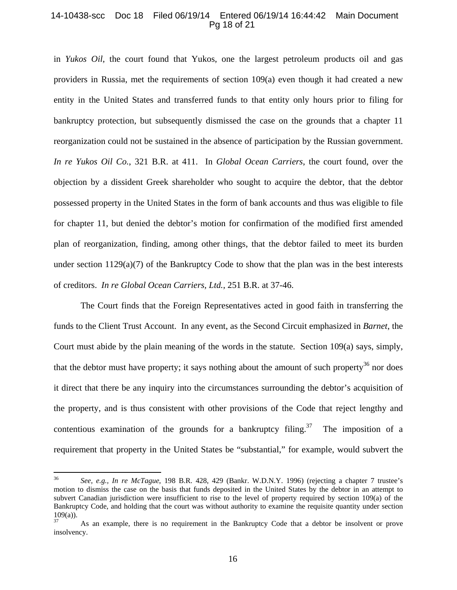### 14-10438-scc Doc 18 Filed 06/19/14 Entered 06/19/14 16:44:42 Main Document Pg 18 of 21

in *Yukos Oil*, the court found that Yukos, one the largest petroleum products oil and gas providers in Russia, met the requirements of section 109(a) even though it had created a new entity in the United States and transferred funds to that entity only hours prior to filing for bankruptcy protection, but subsequently dismissed the case on the grounds that a chapter 11 reorganization could not be sustained in the absence of participation by the Russian government. *In re Yukos Oil Co.*, 321 B.R. at 411. In *Global Ocean Carriers*, the court found, over the objection by a dissident Greek shareholder who sought to acquire the debtor, that the debtor possessed property in the United States in the form of bank accounts and thus was eligible to file for chapter 11, but denied the debtor's motion for confirmation of the modified first amended plan of reorganization, finding, among other things, that the debtor failed to meet its burden under section  $1129(a)(7)$  of the Bankruptcy Code to show that the plan was in the best interests of creditors. *In re Global Ocean Carriers, Ltd.*, 251 B.R. at 37-46.

The Court finds that the Foreign Representatives acted in good faith in transferring the funds to the Client Trust Account. In any event, as the Second Circuit emphasized in *Barnet*, the Court must abide by the plain meaning of the words in the statute. Section 109(a) says, simply, that the debtor must have property; it says nothing about the amount of such property<sup>36</sup> nor does it direct that there be any inquiry into the circumstances surrounding the debtor's acquisition of the property, and is thus consistent with other provisions of the Code that reject lengthy and contentious examination of the grounds for a bankruptcy filing.<sup>37</sup> The imposition of a requirement that property in the United States be "substantial," for example, would subvert the

<sup>36</sup> *See, e.g., In re McTague*, 198 B.R. 428, 429 (Bankr. W.D.N.Y. 1996) (rejecting a chapter 7 trustee's motion to dismiss the case on the basis that funds deposited in the United States by the debtor in an attempt to subvert Canadian jurisdiction were insufficient to rise to the level of property required by section 109(a) of the Bankruptcy Code, and holding that the court was without authority to examine the requisite quantity under section  $\frac{109(a)}{37}$ .

As an example, there is no requirement in the Bankruptcy Code that a debtor be insolvent or prove insolvency.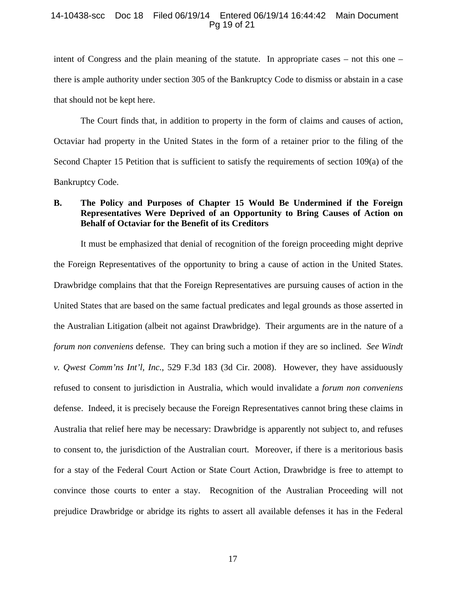#### 14-10438-scc Doc 18 Filed 06/19/14 Entered 06/19/14 16:44:42 Main Document Pg 19 of 21

intent of Congress and the plain meaning of the statute. In appropriate cases – not this one – there is ample authority under section 305 of the Bankruptcy Code to dismiss or abstain in a case that should not be kept here.

The Court finds that, in addition to property in the form of claims and causes of action, Octaviar had property in the United States in the form of a retainer prior to the filing of the Second Chapter 15 Petition that is sufficient to satisfy the requirements of section 109(a) of the Bankruptcy Code.

# **B. The Policy and Purposes of Chapter 15 Would Be Undermined if the Foreign Representatives Were Deprived of an Opportunity to Bring Causes of Action on Behalf of Octaviar for the Benefit of its Creditors**

It must be emphasized that denial of recognition of the foreign proceeding might deprive the Foreign Representatives of the opportunity to bring a cause of action in the United States. Drawbridge complains that that the Foreign Representatives are pursuing causes of action in the United States that are based on the same factual predicates and legal grounds as those asserted in the Australian Litigation (albeit not against Drawbridge). Their arguments are in the nature of a *forum non conveniens* defense. They can bring such a motion if they are so inclined. *See Windt v. Qwest Comm'ns Int'l, Inc.*, 529 F.3d 183 (3d Cir. 2008). However, they have assiduously refused to consent to jurisdiction in Australia, which would invalidate a *forum non conveniens*  defense. Indeed, it is precisely because the Foreign Representatives cannot bring these claims in Australia that relief here may be necessary: Drawbridge is apparently not subject to, and refuses to consent to, the jurisdiction of the Australian court. Moreover, if there is a meritorious basis for a stay of the Federal Court Action or State Court Action, Drawbridge is free to attempt to convince those courts to enter a stay. Recognition of the Australian Proceeding will not prejudice Drawbridge or abridge its rights to assert all available defenses it has in the Federal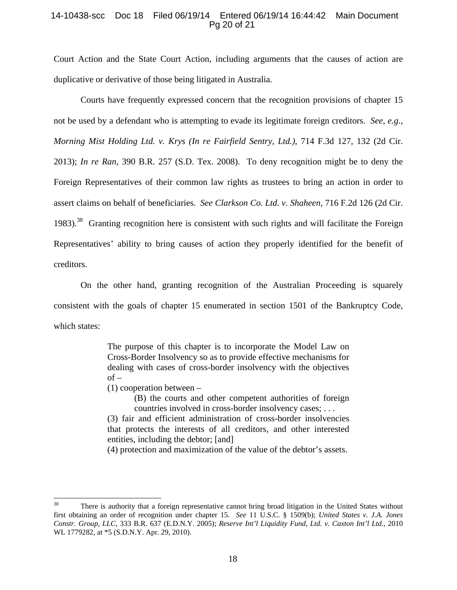### 14-10438-scc Doc 18 Filed 06/19/14 Entered 06/19/14 16:44:42 Main Document Pg 20 of 21

Court Action and the State Court Action, including arguments that the causes of action are duplicative or derivative of those being litigated in Australia.

Courts have frequently expressed concern that the recognition provisions of chapter 15 not be used by a defendant who is attempting to evade its legitimate foreign creditors. *See, e.g., Morning Mist Holding Ltd. v. Krys (In re Fairfield Sentry, Ltd.)*, 714 F.3d 127, 132 (2d Cir. 2013); *In re Ran*, 390 B.R. 257 (S.D. Tex. 2008). To deny recognition might be to deny the Foreign Representatives of their common law rights as trustees to bring an action in order to assert claims on behalf of beneficiaries. *See Clarkson Co. Ltd. v. Shaheen*, 716 F.2d 126 (2d Cir. 1983).<sup>38</sup> Granting recognition here is consistent with such rights and will facilitate the Foreign Representatives' ability to bring causes of action they properly identified for the benefit of creditors.

On the other hand, granting recognition of the Australian Proceeding is squarely consistent with the goals of chapter 15 enumerated in section 1501 of the Bankruptcy Code, which states:

> The purpose of this chapter is to incorporate the Model Law on Cross-Border Insolvency so as to provide effective mechanisms for dealing with cases of cross-border insolvency with the objectives  $of -$

(1) cooperation between –

(B) the courts and other competent authorities of foreign countries involved in cross-border insolvency cases; . . .

(3) fair and efficient administration of cross-border insolvencies that protects the interests of all creditors, and other interested entities, including the debtor; [and]

(4) protection and maximization of the value of the debtor's assets.

<sup>&</sup>lt;sup>38</sup> There is authority that a foreign representative cannot bring broad litigation in the United States without first obtaining an order of recognition under chapter 15. *See* 11 U.S.C. § 1509(b); *United States v. J.A. Jones Constr. Group, LLC*, 333 B.R. 637 (E.D.N.Y. 2005); *Reserve Int'l Liquidity Fund, Ltd. v. Caxton Int'l Ltd.*, 2010 WL 1779282, at \*5 (S.D.N.Y. Apr. 29, 2010).